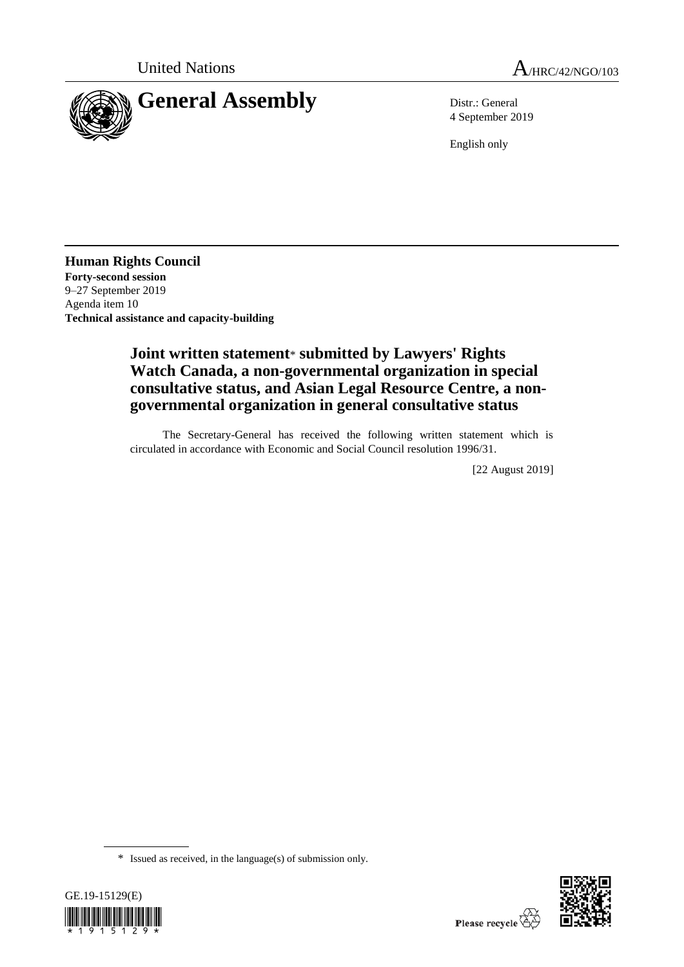

4 September 2019

English only

**Human Rights Council Forty-second session** 9–27 September 2019 Agenda item 10 **Technical assistance and capacity-building**

# **Joint written statement**\* **submitted by Lawyers' Rights Watch Canada, a non-governmental organization in special consultative status, and Asian Legal Resource Centre, a nongovernmental organization in general consultative status**

The Secretary-General has received the following written statement which is circulated in accordance with Economic and Social Council resolution 1996/31.

[22 August 2019]

<sup>\*</sup> Issued as received, in the language(s) of submission only.



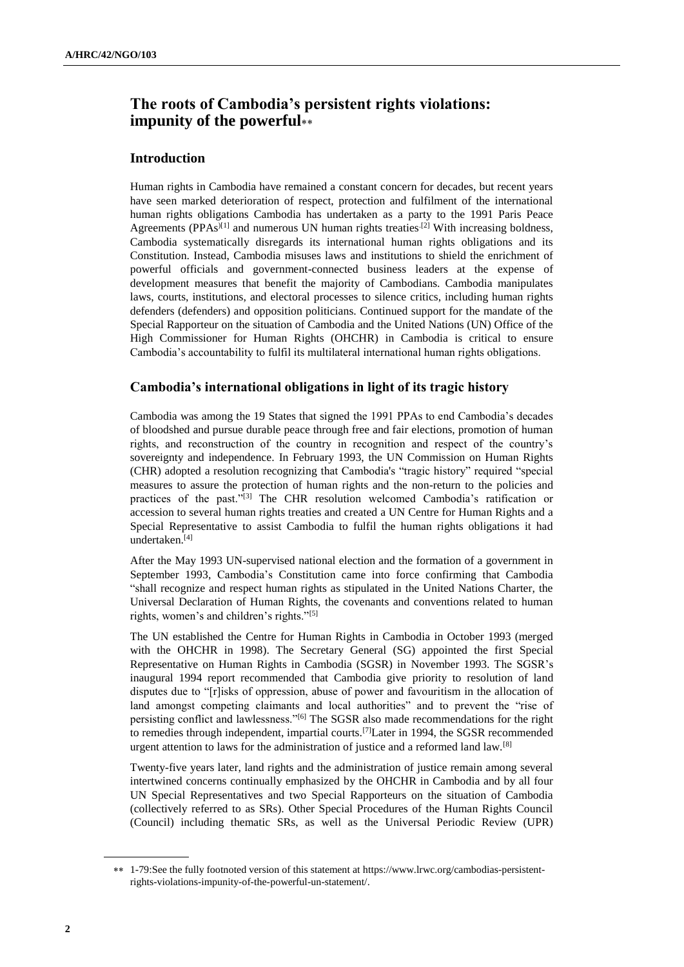# **The roots of Cambodia's persistent rights violations: impunity of the powerful**

## **Introduction**

Human rights in Cambodia have remained a constant concern for decades, but recent years have seen marked deterioration of respect, protection and fulfilment of the international human rights obligations Cambodia has undertaken as a party to the 1991 Paris Peace Agreements ( $PPAs^{[1]}$  and numerous UN human rights treaties<sup>[2]</sup> With increasing boldness, Cambodia systematically disregards its international human rights obligations and its Constitution. Instead, Cambodia misuses laws and institutions to shield the enrichment of powerful officials and government-connected business leaders at the expense of development measures that benefit the majority of Cambodians. Cambodia manipulates laws, courts, institutions, and electoral processes to silence critics, including human rights defenders (defenders) and opposition politicians. Continued support for the mandate of the Special Rapporteur on the situation of Cambodia and the United Nations (UN) Office of the High Commissioner for Human Rights (OHCHR) in Cambodia is critical to ensure Cambodia's accountability to fulfil its multilateral international human rights obligations.

## **Cambodia's international obligations in light of its tragic history**

Cambodia was among the 19 States that signed the 1991 PPAs to end Cambodia's decades of bloodshed and pursue durable peace through free and fair elections, promotion of human rights, and reconstruction of the country in recognition and respect of the country's sovereignty and independence. In February 1993, the UN Commission on Human Rights (CHR) adopted a resolution recognizing that Cambodia's "tragic history" required "special measures to assure the protection of human rights and the non-return to the policies and practices of the past."[3] The CHR resolution welcomed Cambodia's ratification or accession to several human rights treaties and created a UN Centre for Human Rights and a Special Representative to assist Cambodia to fulfil the human rights obligations it had undertaken. [4]

After the May 1993 UN-supervised national election and the formation of a government in September 1993, Cambodia's Constitution came into force confirming that Cambodia "shall recognize and respect human rights as stipulated in the United Nations Charter, the Universal Declaration of Human Rights, the covenants and conventions related to human rights, women's and children's rights."[5]

The UN established the Centre for Human Rights in Cambodia in October 1993 (merged with the OHCHR in 1998). The Secretary General (SG) appointed the first Special Representative on Human Rights in Cambodia (SGSR) in November 1993. The SGSR's inaugural 1994 report recommended that Cambodia give priority to resolution of land disputes due to "[r]isks of oppression, abuse of power and favouritism in the allocation of land amongst competing claimants and local authorities" and to prevent the "rise of persisting conflict and lawlessness."[6] The SGSR also made recommendations for the right to remedies through independent, impartial courts.[7]Later in 1994, the SGSR recommended urgent attention to laws for the administration of justice and a reformed land law.<sup>[8]</sup>

Twenty-five years later, land rights and the administration of justice remain among several intertwined concerns continually emphasized by the OHCHR in Cambodia and by all four UN Special Representatives and two Special Rapporteurs on the situation of Cambodia (collectively referred to as SRs). Other Special Procedures of the Human Rights Council (Council) including thematic SRs, as well as the Universal Periodic Review (UPR)

<sup>\*\* 1-79:</sup>See the fully footnoted version of this statement at [https://www.lrwc.org/cambodias-persistent](https://www.lrwc.org/cambodias-persistent-rights-violations-impunity-of-the-powerful-un-statement/)[rights-violations-impunity-of-the-powerful-un-statement/.](https://www.lrwc.org/cambodias-persistent-rights-violations-impunity-of-the-powerful-un-statement/)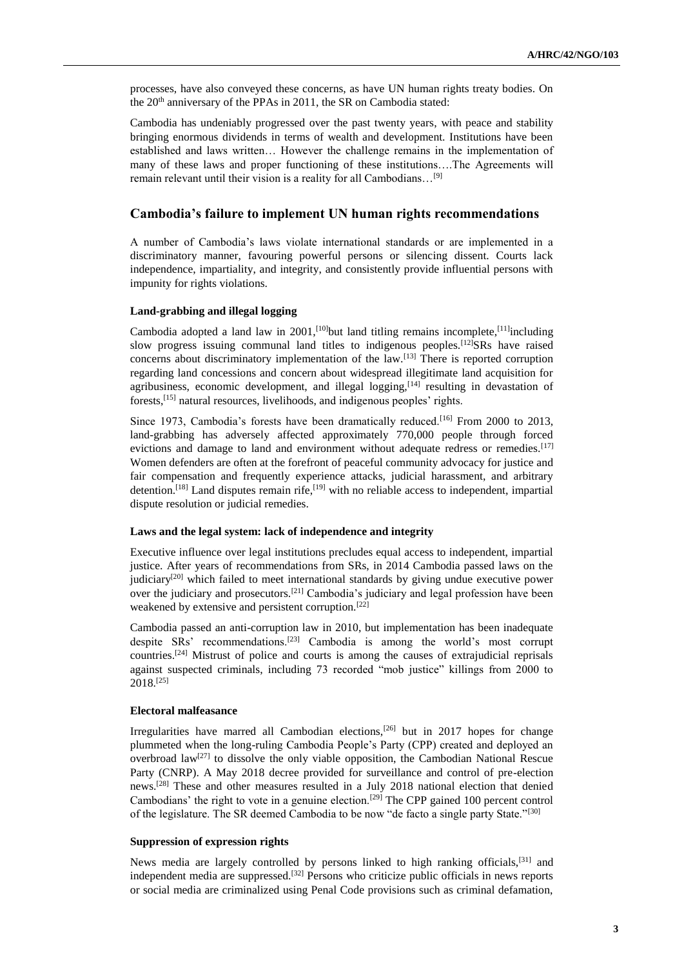processes, have also conveyed these concerns, as have UN human rights treaty bodies. On the 20<sup>th</sup> anniversary of the PPAs in 2011, the SR on Cambodia stated:

Cambodia has undeniably progressed over the past twenty years, with peace and stability bringing enormous dividends in terms of wealth and development. Institutions have been established and laws written… However the challenge remains in the implementation of many of these laws and proper functioning of these institutions….The Agreements will remain relevant until their vision is a reality for all Cambodians…[9]

### **Cambodia's failure to implement UN human rights recommendations**

A number of Cambodia's laws violate international standards or are implemented in a discriminatory manner, favouring powerful persons or silencing dissent. Courts lack independence, impartiality, and integrity, and consistently provide influential persons with impunity for rights violations.

#### **Land-grabbing and illegal logging**

Cambodia adopted a land law in 2001,<sup>[10]</sup>but land titling remains incomplete,<sup>[11]</sup>including slow progress issuing communal land titles to indigenous peoples.<sup>[12]</sup>SRs have raised concerns about discriminatory implementation of the law.[13] There is reported corruption regarding land concessions and concern about widespread illegitimate land acquisition for agribusiness, economic development, and illegal logging,  $[14]$  resulting in devastation of forests,[15] natural resources, livelihoods, and indigenous peoples' rights.

Since 1973, Cambodia's forests have been dramatically reduced.<sup>[16]</sup> From 2000 to 2013, land-grabbing has adversely affected approximately 770,000 people through forced evictions and damage to land and environment without adequate redress or remedies.<sup>[17]</sup> Women defenders are often at the forefront of peaceful community advocacy for justice and fair compensation and frequently experience attacks, judicial harassment, and arbitrary detention.<sup>[18]</sup> Land disputes remain rife,<sup>[19]</sup> with no reliable access to independent, impartial dispute resolution or judicial remedies.

#### **Laws and the legal system: lack of independence and integrity**

Executive influence over legal institutions precludes equal access to independent, impartial justice. After years of recommendations from SRs, in 2014 Cambodia passed laws on the judiciary $[20]$  which failed to meet international standards by giving undue executive power over the judiciary and prosecutors.<sup>[21]</sup> Cambodia's judiciary and legal profession have been weakened by extensive and persistent corruption.[22]

Cambodia passed an anti-corruption law in 2010, but implementation has been inadequate despite SRs' recommendations.[23] Cambodia is among the world's most corrupt countries.[24] Mistrust of police and courts is among the causes of extrajudicial reprisals against suspected criminals, including 73 recorded "mob justice" killings from 2000 to 2018.[25]

#### **Electoral malfeasance**

Irregularities have marred all Cambodian elections, $[26]$  but in 2017 hopes for change plummeted when the long-ruling Cambodia People's Party (CPP) created and deployed an overbroad law<sup>[27]</sup> to dissolve the only viable opposition, the Cambodian National Rescue Party (CNRP). A May 2018 decree provided for surveillance and control of pre-election news.[28] These and other measures resulted in a July 2018 national election that denied Cambodians' the right to vote in a genuine election.<sup>[29]</sup> The CPP gained 100 percent control of the legislature. The SR deemed Cambodia to be now "de facto a single party State."<sup>[30]</sup>

### **Suppression of expression rights**

News media are largely controlled by persons linked to high ranking officials,[31] and independent media are suppressed.[32] Persons who criticize public officials in news reports or social media are criminalized using Penal Code provisions such as criminal defamation,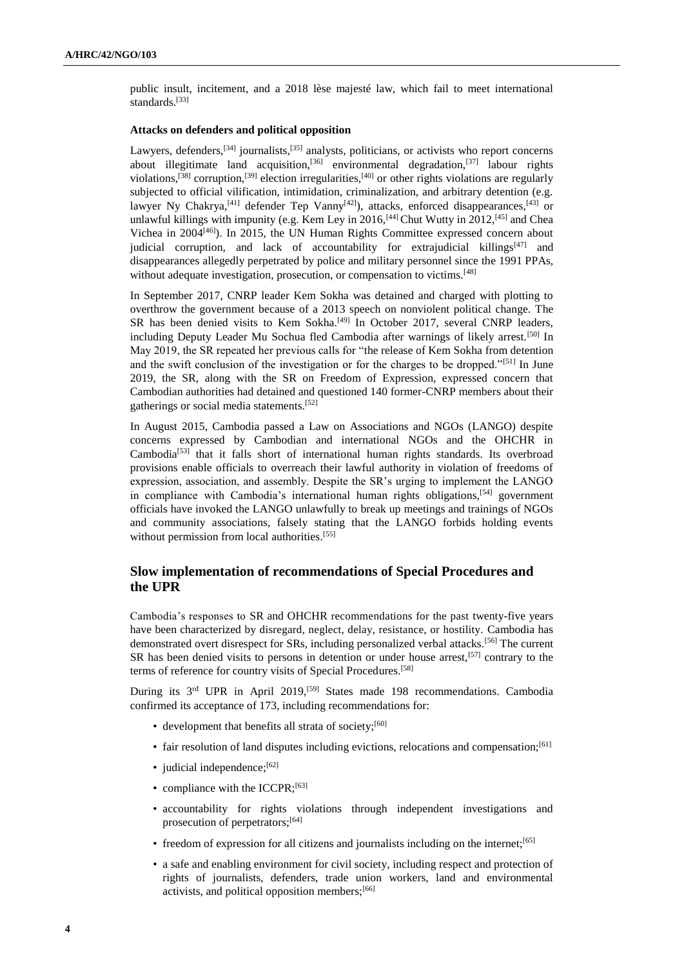public insult, incitement, and a 2018 lèse majesté law, which fail to meet international standards.<sup>[33]</sup>

#### **Attacks on defenders and political opposition**

Lawyers, defenders,<sup>[34]</sup> journalists,<sup>[35]</sup> analysts, politicians, or activists who report concerns about illegitimate land acquisition,<sup>[36]</sup> environmental degradation,<sup>[37]</sup> labour rights violations,<sup>[38]</sup> corruption,<sup>[39]</sup> election irregularities,<sup>[40]</sup> or other rights violations are regularly subjected to official vilification, intimidation, criminalization, and arbitrary detention (e.g. lawyer Ny Chakrya,<sup>[41]</sup> defender Tep Vanny<sup>[42]</sup>), attacks, enforced disappearances,<sup>[43]</sup> or unlawful killings with impunity (e.g. Kem Ley in 2016, <sup>[44]</sup> Chut Wutty in 2012, <sup>[45]</sup> and Chea Vichea in 2004[46]). In 2015, the UN Human Rights Committee expressed concern about judicial corruption, and lack of accountability for extrajudicial killings<sup>[47]</sup> and disappearances allegedly perpetrated by police and military personnel since the 1991 PPAs, without adequate investigation, prosecution, or compensation to victims.<sup>[48]</sup>

In September 2017, CNRP leader Kem Sokha was detained and charged with plotting to overthrow the government because of a 2013 speech on nonviolent political change. The SR has been denied visits to Kem Sokha.<sup>[49]</sup> In October 2017, several CNRP leaders, including Deputy Leader Mu Sochua fled Cambodia after warnings of likely arrest.<sup>[50]</sup> In May 2019, the SR repeated her previous calls for "the release of Kem Sokha from detention and the swift conclusion of the investigation or for the charges to be dropped."<sup>[51]</sup> In June 2019, the SR, along with the SR on Freedom of Expression, expressed concern that Cambodian authorities had detained and questioned 140 former-CNRP members about their gatherings or social media statements.[52]

In August 2015, Cambodia passed a Law on Associations and NGOs (LANGO) despite concerns expressed by Cambodian and international NGOs and the OHCHR in Cambodia[53] that it falls short of international human rights standards. Its overbroad provisions enable officials to overreach their lawful authority in violation of freedoms of expression, association, and assembly. Despite the SR's urging to implement the LANGO in compliance with Cambodia's international human rights obligations,[54] government officials have invoked the LANGO unlawfully to break up meetings and trainings of NGOs and community associations, falsely stating that the LANGO forbids holding events without permission from local authorities.<sup>[55]</sup>

# **Slow implementation of recommendations of Special Procedures and the UPR**

Cambodia's responses to SR and OHCHR recommendations for the past twenty-five years have been characterized by disregard, neglect, delay, resistance, or hostility. Cambodia has demonstrated overt disrespect for SRs, including personalized verbal attacks.<sup>[56]</sup> The current SR has been denied visits to persons in detention or under house arrest,<sup>[57]</sup> contrary to the terms of reference for country visits of Special Procedures.<sup>[58]</sup>

During its 3rd UPR in April 2019,[59] States made 198 recommendations. Cambodia confirmed its acceptance of 173, including recommendations for:

- development that benefits all strata of society; $[60]$
- fair resolution of land disputes including evictions, relocations and compensation;[61]
- judicial independence; $[62]$
- compliance with the ICCPR;<sup>[63]</sup>
- accountability for rights violations through independent investigations and prosecution of perpetrators;<sup>[64]</sup>
- freedom of expression for all citizens and journalists including on the internet;<sup>[65]</sup>
- a safe and enabling environment for civil society, including respect and protection of rights of journalists, defenders, trade union workers, land and environmental activists, and political opposition members;<sup>[66]</sup>